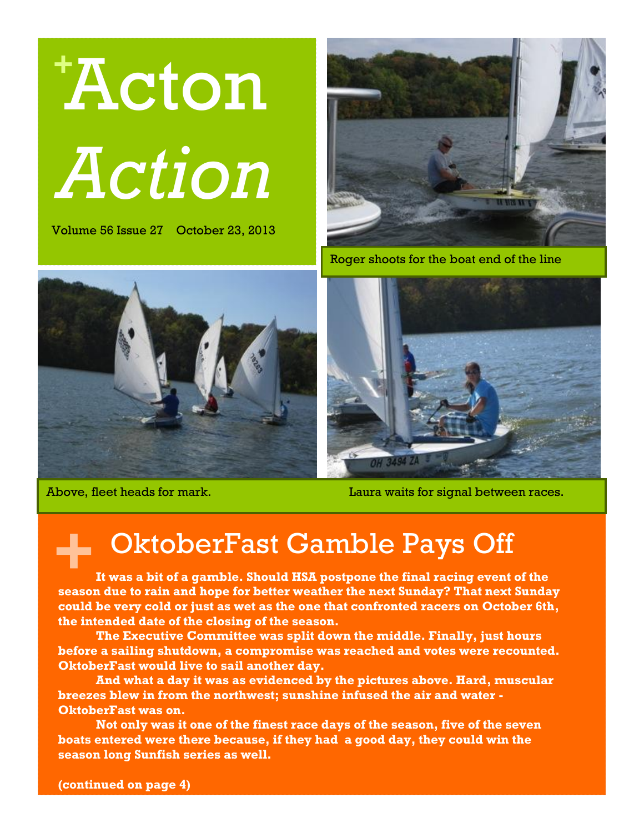

Volume 56 Issue 27 October 23, 2013





Roger shoots for the boat end of the line



Above, fleet heads for mark. Laura waits for signal between races.

#### OktoberFast Gamble Pays Off

**+ It was a bit of a gamble. Should HSA postpone the final racing event of the season due to rain and hope for better weather the next Sunday? That next Sunday could be very cold or just as wet as the one that confronted racers on October 6th, the intended date of the closing of the season.**

**The Executive Committee was split down the middle. Finally, just hours before a sailing shutdown, a compromise was reached and votes were recounted. OktoberFast would live to sail another day.** 

**And what a day it was as evidenced by the pictures above. Hard, muscular breezes blew in from the northwest; sunshine infused the air and water - OktoberFast was on.** 

**Not only was it one of the finest race days of the season, five of the seven boats entered were there because, if they had a good day, they could win the season long Sunfish series as well.**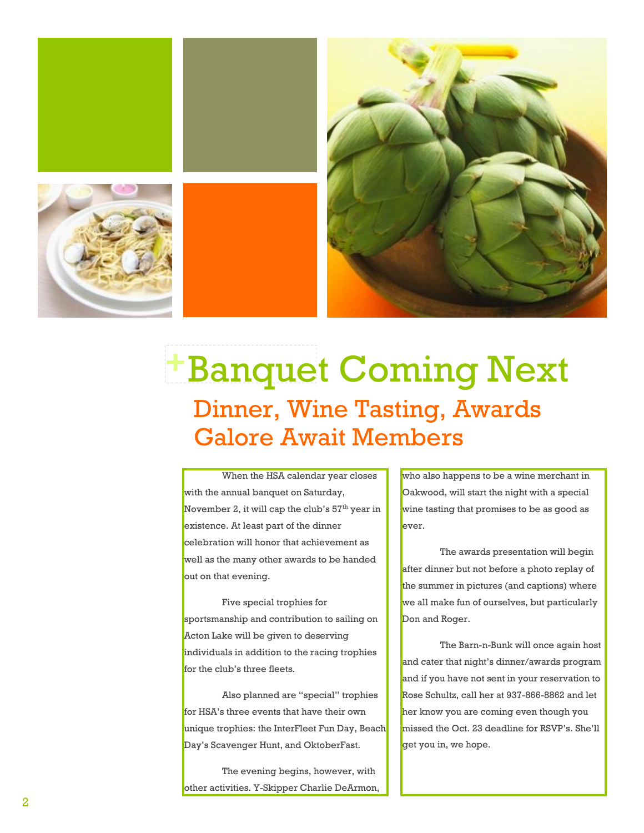

### Banquet Coming Next **+**Dinner, Wine Tasting, Awards Galore Await Members

When the HSA calendar year closes with the annual banquet on Saturday, November 2, it will cap the club's  $57<sup>th</sup>$  year in existence. At least part of the dinner celebration will honor that achievement as well as the many other awards to be handed out on that evening.

Five special trophies for sportsmanship and contribution to sailing on Acton Lake will be given to deserving individuals in addition to the racing trophies for the club's three fleets.

Also planned are "special" trophies for HSA's three events that have their own unique trophies: the InterFleet Fun Day, Beach Day's Scavenger Hunt, and OktoberFast.

The evening begins, however, with other activities. Y-Skipper Charlie DeArmon, who also happens to be a wine merchant in Oakwood, will start the night with a special wine tasting that promises to be as good as ever.

The awards presentation will begin after dinner but not before a photo replay of the summer in pictures (and captions) where we all make fun of ourselves, but particularly Don and Roger.

The Barn-n-Bunk will once again host and cater that night's dinner/awards program and if you have not sent in your reservation to Rose Schultz, call her at 937-866-8862 and let her know you are coming even though you missed the Oct. 23 deadline for RSVP's. She'll get you in, we hope.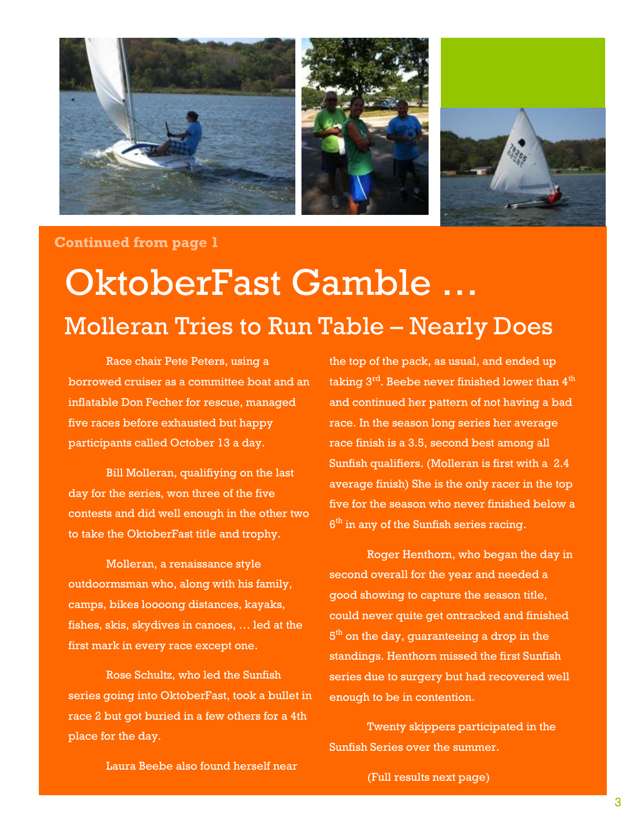

#### **Continued from page 1**

## OktoberFast Gamble … Molleran Tries to Run Table – Nearly Does

Race chair Pete Peters, using a borrowed cruiser as a committee boat and an inflatable Don Fecher for rescue, managed five races before exhausted but happy participants called October 13 a day.

Bill Molleran, qualifiying on the last day for the series, won three of the five contests and did well enough in the other two to take the OktoberFast title and trophy.

Molleran, a renaissance style outdoormsman who, along with his family, camps, bikes loooong distances, kayaks, fishes, skis, skydives in canoes, … led at the first mark in every race except one.

Rose Schultz, who led the Sunfish series going into OktoberFast, took a bullet in race 2 but got buried in a few others for a 4th place for the day.

the top of the pack, as usual, and ended up taking  $3<sup>rd</sup>$ . Beebe never finished lower than  $4<sup>th</sup>$ and continued her pattern of not having a bad race. In the season long series her average race finish is a 3.5, second best among all Sunfish qualifiers. (Molleran is first with a 2.4 average finish) She is the only racer in the top five for the season who never finished below a  $6<sup>th</sup>$  in any of the Sunfish series racing.

Roger Henthorn, who began the day in second overall for the year and needed a good showing to capture the season title, could never quite get ontracked and finished  $5^{\rm th}$  on the day, guaranteeing a drop in the standings. Henthorn missed the first Sunfish series due to surgery but had recovered well enough to be in contention.

Twenty skippers participated in the Sunfish Series over the summer.

Laura Beebe also found herself near

(Full results next page)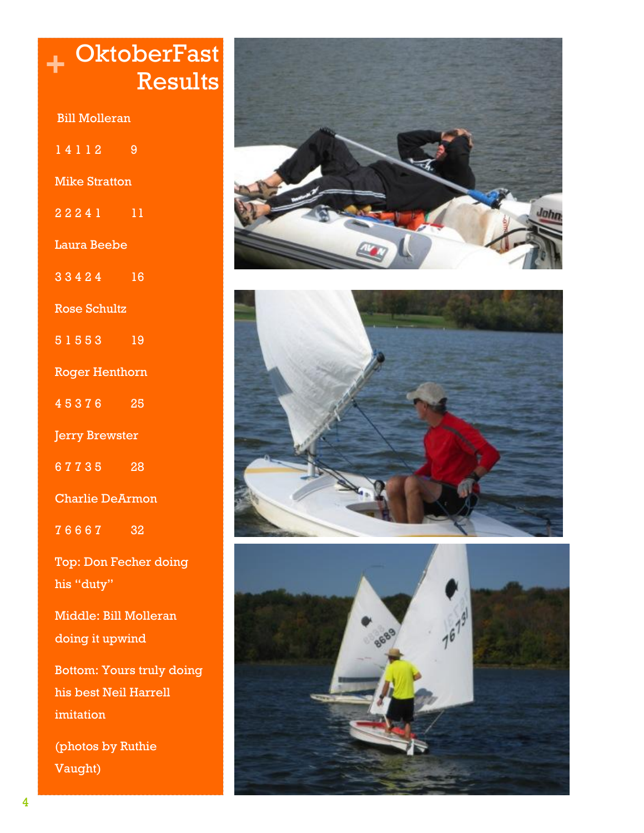|                                    | OktoberFas                   |
|------------------------------------|------------------------------|
|                                    | Result                       |
| <b>Bill Molleran</b>               |                              |
| 14112                              | 9                            |
| <b>Mike Stratton</b>               |                              |
| $22241$ 11                         |                              |
| <b>Laura Beebe</b>                 |                              |
| $33424$ 16                         |                              |
| <b>Rose Schultz</b>                |                              |
| 51553 19                           |                              |
| <b>Roger Henthorn</b>              |                              |
| 45376 25                           |                              |
| <b>Jerry Brewster</b>              |                              |
| 67735 28                           |                              |
| <b>Charlie DeArmon</b>             |                              |
| 76667 32                           |                              |
| his "duty"                         | <b>Top: Don Fecher doing</b> |
| Middle: Bill Molleran              |                              |
| doing it upwind                    |                              |
| <b>Bottom: Yours truly doing</b>   |                              |
| his best Neil Harrell<br>imitation |                              |
|                                    |                              |

(photos by Ruthie Vaught)





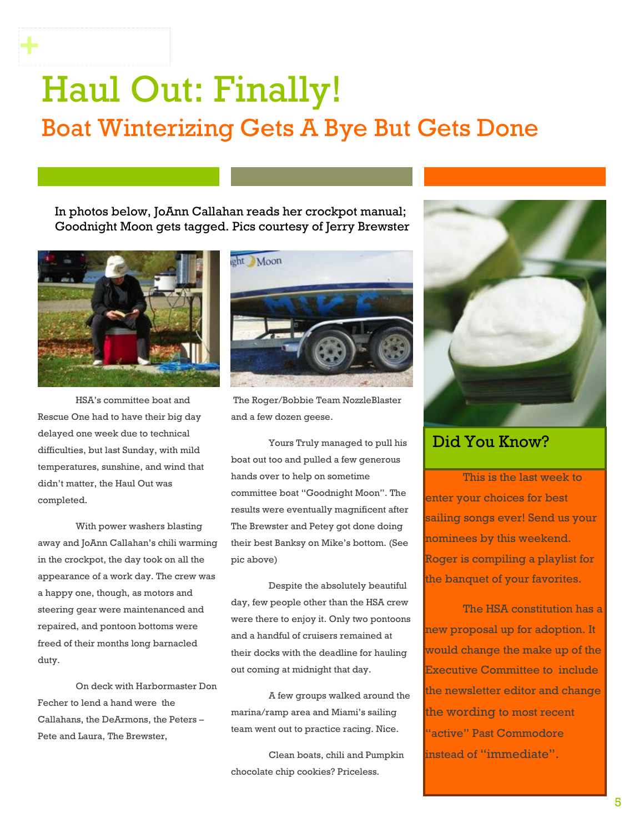## Haul Out: Finally! Boat Winterizing Gets A Bye But Gets Done

In photos below, JoAnn Callahan reads her crockpot manual; Goodnight Moon gets tagged. Pics courtesy of Jerry Brewster



**+**

HSA's committee boat and Rescue One had to have their big day delayed one week due to technical difficulties, but last Sunday, with mild temperatures, sunshine, and wind that didn't matter, the Haul Out was completed.

With power washers blasting away and JoAnn Callahan's chili warming in the crockpot, the day took on all the appearance of a work day. The crew was a happy one, though, as motors and steering gear were maintenanced and repaired, and pontoon bottoms were freed of their months long barnacled duty.

On deck with Harbormaster Don Fecher to lend a hand were the Callahans, the DeArmons, the Peters – Pete and Laura, The Brewster,



The Roger/Bobbie Team NozzleBlaster and a few dozen geese.

Yours Truly managed to pull his boat out too and pulled a few generous hands over to help on sometime committee boat "Goodnight Moon". The results were eventually magnificent after The Brewster and Petey got done doing their best Banksy on Mike's bottom. (See pic above)

Despite the absolutely beautiful day, few people other than the HSA crew were there to enjoy it. Only two pontoons and a handful of cruisers remained at their docks with the deadline for hauling out coming at midnight that day.

A few groups walked around the marina/ramp area and Miami's sailing team went out to practice racing. Nice.

Clean boats, chili and Pumpkin chocolate chip cookies? Priceless.



#### Did You Know?

This is the last week to enter your choices for best sailing songs ever! Send us your nominees by this weekend. Roger is compiling a playlist for the banquet of your favorites.

The HSA constitution has a new proposal up for adoption. It would change the make up of the Executive Committee to include the newsletter editor and change the wording to most recent "active" Past Commodore instead of "immediate".